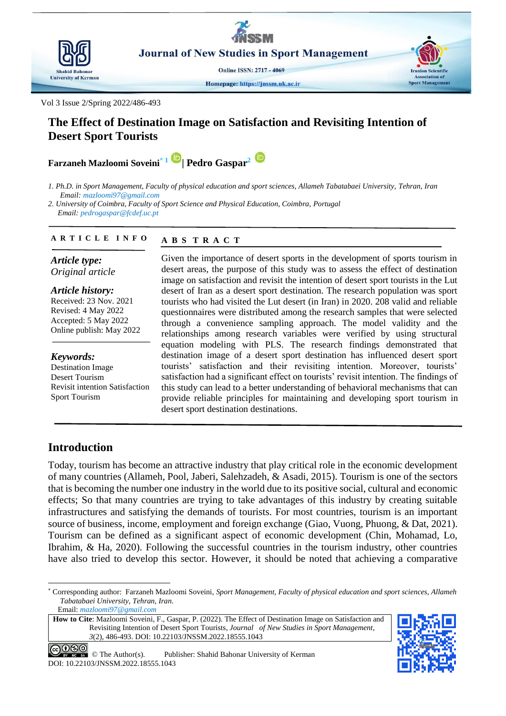

**Journal of New Studies in Sport Management** 

**Online ISSN: 2717 - 4069** 

Homepage: https://jnssm.uk.ac.ir

Vol 3 Issue 2/Spring 2022/486-493

# **The Effect of Destination Image on Satisfaction and Revisiting Intention of Desert Sport Tourists**

**Farzaneh Mazloomi Soveini\* <sup>1</sup>| Pedro Gaspar<sup>2</sup>**

*1. Ph.D. in Sport Management, Faculty of physical education and sport sciences, Allameh Tabatabaei University, Tehran, Iran Email: mazloomi97@gmail.com* 

*2. University of Coimbra, Faculty of Sport Science and Physical Education, Coimbra, Portugal Email: pedrogaspar@fcdef.uc.pt*

#### **A B S T R A C T A R T I C L E I N F O**

*Article type: Original article*

*Article history:* Received: 23 Nov. 2021

Revised: 4 May 2022 Accepted: 5 May 2022 Online publish: May 2022

*Keywords:*

Destination Image Desert Tourism Revisit intention Satisfaction Sport Tourism

Given the importance of desert sports in the development of sports tourism in desert areas, the purpose of this study was to assess the effect of destination image on satisfaction and revisit the intention of desert sport tourists in the Lut desert of Iran as a desert sport destination. The research population was sport tourists who had visited the Lut desert (in Iran) in 2020. 208 valid and reliable questionnaires were distributed among the research samples that were selected through a convenience sampling approach. The model validity and the relationships among research variables were verified by using structural equation modeling with PLS. The research findings demonstrated that destination image of a desert sport destination has influenced desert sport tourists' satisfaction and their revisiting intention. Moreover, tourists' satisfaction had a significant effect on tourists' revisit intention. The findings of this study can lead to a better understanding of behavioral mechanisms that can provide reliable principles for maintaining and developing sport tourism in desert sport destination destinations.

# **Introduction**

-

Today, tourism has become an attractive industry that play critical role in the economic development of many countries [\(Allameh, Pool, Jaberi, Salehzadeh, & Asadi, 2015\)](#page-6-0). Tourism is one of the sectors that is becoming the number one industry in the world due to its positive social, cultural and economic effects; So that many countries are trying to take advantages of this industry by creating suitable infrastructures and satisfying the demands of tourists. For most countries, tourism is an important source of business, income, employment and foreign exchange [\(Giao, Vuong, Phuong, & Dat, 2021\)](#page-7-0). Tourism can be defined as a significant aspect of economic development [\(Chin, Mohamad, Lo,](#page-6-1)  [Ibrahim, & Ha, 2020\)](#page-6-1). Following the successful countries in the tourism industry, other countries have also tried to develop this sector. However, it should be noted that achieving a comparative

**How to Cite**: Mazloomi Soveini, F., Gaspar, P. (2022). The Effect of Destination Image on Satisfaction and Revisiting Intention of Desert Sport Tourists, *Journal of New Studies in Sport Management*, *3*(2), 486-493. DOI: 10.22103/JNSSM.2022.18555.1043



**Iranian Scientific** 

**Sport Management** 

 $0 \circledS 0$ © The Author(s). Publisher: Shahid Bahonar University of Kerman DOI: 10.22103/JNSSM.2022.18555.1043

<sup>\*</sup> Corresponding author: Farzaneh Mazloomi Soveini, *Sport Management, Faculty of physical education and sport sciences, Allameh Tabatabaei University, Tehran, Iran.* Email: *mazloomi97@gmail.com*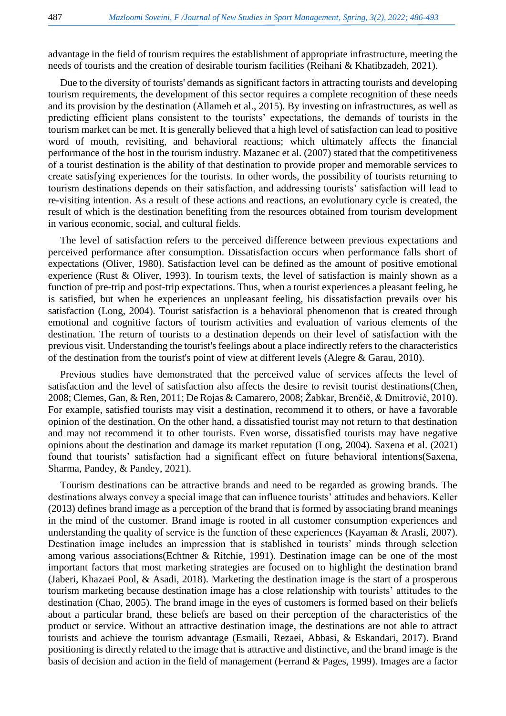advantage in the field of tourism requires the establishment of appropriate infrastructure, meeting the needs of tourists and the creation of desirable tourism facilities [\(Reihani & Khatibzadeh, 2021\)](#page-7-1).

Due to the diversity of tourists' demands as significant factors in attracting tourists and developing tourism requirements, the development of this sector requires a complete recognition of these needs and its provision by the destination [\(Allameh et al., 2015\)](#page-6-0). By investing on infrastructures, as well as predicting efficient plans consistent to the tourists' expectations, the demands of tourists in the tourism market can be met. It is generally believed that a high level of satisfaction can lead to positive word of mouth, revisiting, and behavioral reactions; which ultimately affects the financial performance of the host in the tourism industry. Mazanec et al. (2007) stated that the competitiveness of a tourist destination is the ability of that destination to provide proper and memorable services to create satisfying experiences for the tourists. In other words, the possibility of tourists returning to tourism destinations depends on their satisfaction, and addressing tourists' satisfaction will lead to re-visiting intention. As a result of these actions and reactions, an evolutionary cycle is created, the result of which is the destination benefiting from the resources obtained from tourism development in various economic, social, and cultural fields.

The level of satisfaction refers to the perceived difference between previous expectations and perceived performance after consumption. Dissatisfaction occurs when performance falls short of expectations [\(Oliver, 1980\)](#page-7-2). Satisfaction level can be defined as the amount of positive emotional experience [\(Rust & Oliver, 1993\)](#page-7-3). In tourism texts, the level of satisfaction is mainly shown as a function of pre-trip and post-trip expectations. Thus, when a tourist experiences a pleasant feeling, he is satisfied, but when he experiences an unpleasant feeling, his dissatisfaction prevails over his satisfaction [\(Long, 2004\)](#page-7-4). Tourist satisfaction is a behavioral phenomenon that is created through emotional and cognitive factors of tourism activities and evaluation of various elements of the destination. The return of tourists to a destination depends on their level of satisfaction with the previous visit. Understanding the tourist's feelings about a place indirectly refers to the characteristics of the destination from the tourist's point of view at different levels [\(Alegre & Garau, 2010\)](#page-6-2).

Previous studies have demonstrated that the perceived value of services affects the level of satisfaction and the level of satisfaction also affects the desire to revisit tourist destinations[\(Chen,](#page-6-3)  [2008;](#page-6-3) [Clemes, Gan, & Ren, 2011;](#page-6-4) [De Rojas & Camarero, 2008;](#page-6-5) [Žabkar, Brenčič, & Dmitrović, 2010\)](#page-7-5). For example, satisfied tourists may visit a destination, recommend it to others, or have a favorable opinion of the destination. On the other hand, a dissatisfied tourist may not return to that destination and may not recommend it to other tourists. Even worse, dissatisfied tourists may have negative opinions about the destination and damage its market reputation [\(Long, 2004\)](#page-7-4). Saxena et al. (2021) found that tourists' satisfaction had a significant effect on future behavioral intentions[\(Saxena,](#page-7-6)  [Sharma, Pandey, & Pandey, 2021\)](#page-7-6).

Tourism destinations can be attractive brands and need to be regarded as growing brands. The destinations always convey a special image that can influence tourists' attitudes and behaviors. Keller (2013) defines brand image as a perception of the brand that is formed by associating brand meanings in the mind of the customer. Brand image is rooted in all customer consumption experiences and understanding the quality of service is the function of these experiences (Kayaman  $\&$  Arasli, 2007). Destination image includes an impression that is stablished in tourists' minds through selection among various associations[\(Echtner & Ritchie, 1991\)](#page-6-6). Destination image can be one of the most important factors that most marketing strategies are focused on to highlight the destination brand [\(Jaberi, Khazaei Pool, & Asadi, 2018\)](#page-7-8). Marketing the destination image is the start of a prosperous tourism marketing because destination image has a close relationship with tourists' attitudes to the destination [\(Chao, 2005\)](#page-6-7). The brand image in the eyes of customers is formed based on their beliefs about a particular brand, these beliefs are based on their perception of the characteristics of the product or service. Without an attractive destination image, the destinations are not able to attract tourists and achieve the tourism advantage [\(Esmaili, Rezaei, Abbasi, & Eskandari, 2017\)](#page-6-8). Brand positioning is directly related to the image that is attractive and distinctive, and the brand image is the basis of decision and action in the field of management [\(Ferrand & Pages, 1999\)](#page-6-9). Images are a factor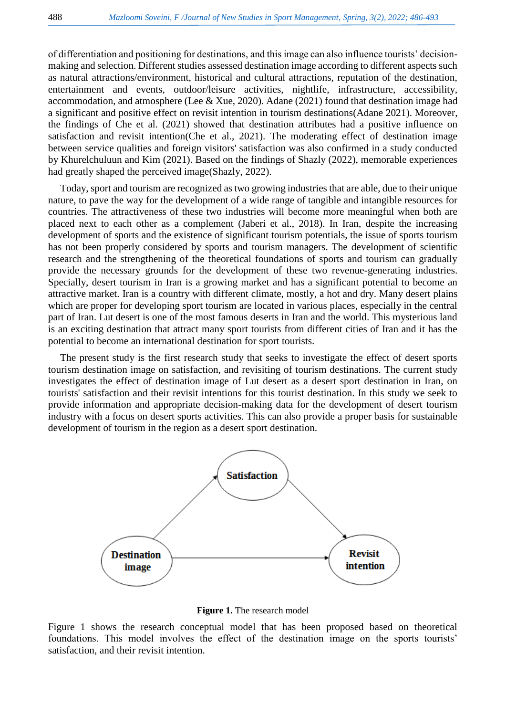of differentiation and positioning for destinations, and this image can also influence tourists' decisionmaking and selection. Different studies assessed destination image according to different aspects such as natural attractions/environment, historical and cultural attractions, reputation of the destination, entertainment and events, outdoor/leisure activities, nightlife, infrastructure, accessibility, accommodation, and atmosphere [\(Lee & Xue, 2020\)](#page-7-9). Adane (2021) found that destination image had a significant and positive effect on revisit intention in tourism destinations[\(Adane 2021\)](#page-6-10). Moreover, the findings of Che et al. (2021) showed that destination attributes had a positive influence on satisfaction and revisit intention[\(Che et al., 2021\)](#page-6-11). The moderating effect of destination image between service qualities and foreign visitors' satisfaction was also confirmed in a study conducted by Khurelchuluun and Kim (2021). Based on the findings of Shazly (2022), memorable experiences had greatly shaped the perceived image[\(Shazly, 2022\)](#page-7-10).

Today, sport and tourism are recognized as two growing industries that are able, due to their unique nature, to pave the way for the development of a wide range of tangible and intangible resources for countries. The attractiveness of these two industries will become more meaningful when both are placed next to each other as a complement [\(Jaberi et al., 2018\)](#page-7-8). In Iran, despite the increasing development of sports and the existence of significant tourism potentials, the issue of sports tourism has not been properly considered by sports and tourism managers. The development of scientific research and the strengthening of the theoretical foundations of sports and tourism can gradually provide the necessary grounds for the development of these two revenue-generating industries. Specially, desert tourism in Iran is a growing market and has a significant potential to become an attractive market. Iran is a country with different climate, mostly, a hot and dry. Many desert plains which are proper for developing sport tourism are located in various places, especially in the central part of Iran. Lut desert is one of the most famous deserts in Iran and the world. This mysterious land is an exciting destination that attract many sport tourists from different cities of Iran and it has the potential to become an international destination for sport tourists.

The present study is the first research study that seeks to investigate the effect of desert sports tourism destination image on satisfaction, and revisiting of tourism destinations. The current study investigates the effect of destination image of Lut desert as a desert sport destination in Iran, on tourists' satisfaction and their revisit intentions for this tourist destination. In this study we seek to provide information and appropriate decision-making data for the development of desert tourism industry with a focus on desert sports activities. This can also provide a proper basis for sustainable development of tourism in the region as a desert sport destination.



**Figure 1.** The research model

Figure 1 shows the research conceptual model that has been proposed based on theoretical foundations. This model involves the effect of the destination image on the sports tourists' satisfaction, and their revisit intention.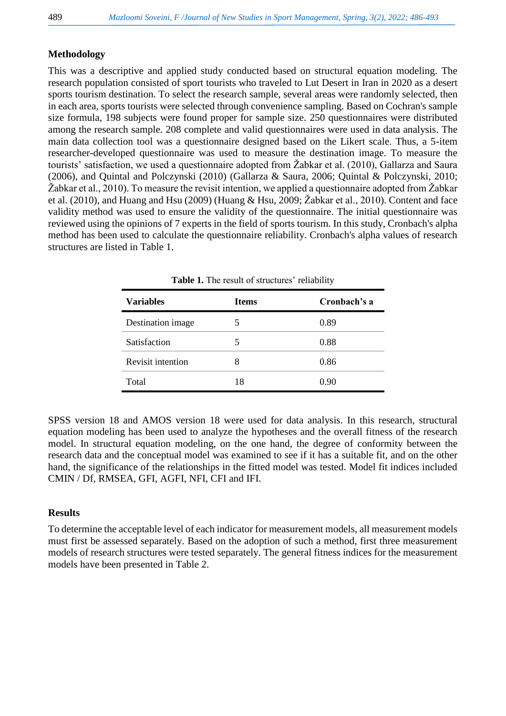## **Methodology**

This was a descriptive and applied study conducted based on structural equation modeling. The research population consisted of sport tourists who traveled to Lut Desert in Iran in 2020 as a desert sports tourism destination. To select the research sample, several areas were randomly selected, then in each area, sports tourists were selected through convenience sampling. Based on Cochran's sample size formula, 198 subjects were found proper for sample size. 250 questionnaires were distributed among the research sample. 208 complete and valid questionnaires were used in data analysis. The main data collection tool was a questionnaire designed based on the Likert scale. Thus, a 5-item researcher-developed questionnaire was used to measure the destination image. To measure the tourists' satisfaction, we used a questionnaire adopted from Žabkar et al. (2010), Gallarza and Saura (2006), and Quintal and Polczynski (2010) [\(Gallarza & Saura, 2006;](#page-6-12) [Quintal & Polczynski, 2010;](#page-7-11) [Žabkar et al., 2010\)](#page-7-5). To measure the revisit intention, we applied a questionnaire adopted from Žabkar et al. (2010), and Huang and Hsu (2009) [\(Huang & Hsu, 2009;](#page-7-12) [Žabkar et al., 2010\)](#page-7-5). Content and face validity method was used to ensure the validity of the questionnaire. The initial questionnaire was reviewed using the opinions of 7 experts in the field of sports tourism. In this study, Cronbach's alpha method has been used to calculate the questionnaire reliability. Cronbach's alpha values of research structures are listed in Table 1.

| <b>Variables</b>  | <b>Items</b> | Cronbach's a |
|-------------------|--------------|--------------|
| Destination image |              | 0.89         |
| Satisfaction      | 5            | 0.88         |
| Revisit intention |              | 0.86         |
| Total             | 18           | (0.90)       |

**Table 1.** The result of structures' reliability

SPSS version 18 and AMOS version 18 were used for data analysis. In this research, structural equation modeling has been used to analyze the hypotheses and the overall fitness of the research model. In structural equation modeling, on the one hand, the degree of conformity between the research data and the conceptual model was examined to see if it has a suitable fit, and on the other hand, the significance of the relationships in the fitted model was tested. Model fit indices included CMIN / Df, RMSEA, GFI, AGFI, NFI, CFI and IFI.

### **Results**

To determine the acceptable level of each indicator for measurement models, all measurement models must first be assessed separately. Based on the adoption of such a method, first three measurement models of research structures were tested separately. The general fitness indices for the measurement models have been presented in Table 2.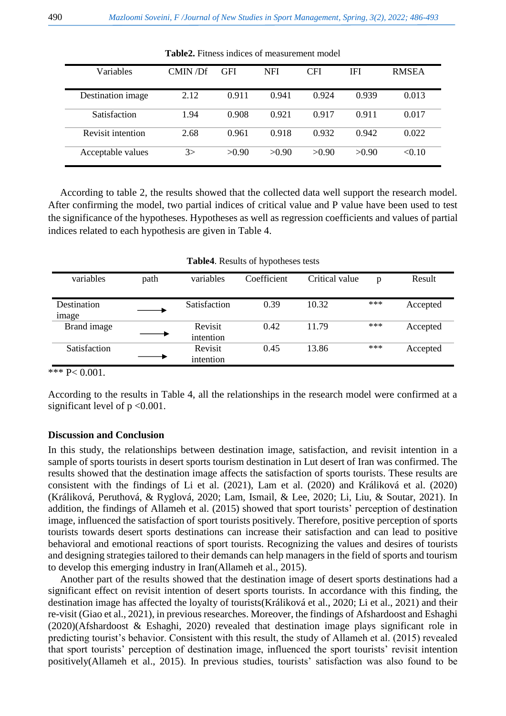| Variables         | CMIN/DF | <b>GFI</b> | <b>NFI</b> | <b>CFI</b> | <b>IFI</b> | <b>RMSEA</b> |  |  |
|-------------------|---------|------------|------------|------------|------------|--------------|--|--|
|                   |         |            |            |            |            |              |  |  |
| Destination image | 2.12    | 0.911      | 0.941      | 0.924      | 0.939      | 0.013        |  |  |
|                   |         |            |            |            |            |              |  |  |
| Satisfaction      | 1.94    | 0.908      | 0.921      | 0.917      | 0.911      | 0.017        |  |  |
|                   |         |            |            |            |            |              |  |  |
| Revisit intention | 2.68    | 0.961      | 0.918      | 0.932      | 0.942      | 0.022        |  |  |
| Acceptable values | 3>      | >0.90      | >0.90      | >0.90      | >0.90      | < 0.10       |  |  |
|                   |         |            |            |            |            |              |  |  |

**Table2.** Fitness indices of measurement model

According to table 2, the results showed that the collected data well support the research model. After confirming the model, two partial indices of critical value and P value have been used to test the significance of the hypotheses. Hypotheses as well as regression coefficients and values of partial indices related to each hypothesis are given in Table 4.

|                             |      |                      | $\sim$ 1    |                |     |          |
|-----------------------------|------|----------------------|-------------|----------------|-----|----------|
| variables                   | path | variables            | Coefficient | Critical value | p   | Result   |
| Destination<br><i>image</i> |      | Satisfaction         | 0.39        | 10.32          | *** | Accepted |
| Brand image                 |      | Revisit<br>intention | 0.42        | 11.79          | *** | Accepted |
| Satisfaction                |      | Revisit<br>intention | 0.45        | 13.86          | *** | Accepted |

\*\*\* P< 0.001.

According to the results in Table 4, all the relationships in the research model were confirmed at a significant level of  $p < 0.001$ .

#### **Discussion and Conclusion**

In this study, the relationships between destination image, satisfaction, and revisit intention in a sample of sports tourists in desert sports tourism destination in Lut desert of Iran was confirmed. The results showed that the destination image affects the satisfaction of sports tourists. These results are consistent with the findings of Li et al. (2021), Lam et al. (2020) and Králiková et al. (2020) [\(Králiková, Peruthová, & Ryglová, 2020;](#page-7-13) [Lam, Ismail, & Lee, 2020;](#page-7-14) [Li, Liu, & Soutar, 2021\)](#page-7-15). In addition, the findings of Allameh et al. (2015) showed that sport tourists' perception of destination image, influenced the satisfaction of sport tourists positively. Therefore, positive perception of sports tourists towards desert sports destinations can increase their satisfaction and can lead to positive behavioral and emotional reactions of sport tourists. Recognizing the values and desires of tourists and designing strategies tailored to their demands can help managers in the field of sports and tourism to develop this emerging industry in Iran[\(Allameh et al., 2015\)](#page-6-0).

Another part of the results showed that the destination image of desert sports destinations had a significant effect on revisit intention of desert sports tourists. In accordance with this finding, the destination image has affected the loyalty of tourists[\(Králiková et al., 2020;](#page-7-13) [Li et al., 2021\)](#page-7-15) and their re-visit [\(Giao et al., 2021\)](#page-7-0), in previous researches. Moreover, the findings of Afshardoost and Eshaghi (2020)[\(Afshardoost & Eshaghi, 2020\)](#page-6-13) revealed that destination image plays significant role in predicting tourist's behavior. Consistent with this result, the study of Allameh et al. (2015) revealed that sport tourists' perception of destination image, influenced the sport tourists' revisit intention positively[\(Allameh et al., 2015\)](#page-6-0). In previous studies, tourists' satisfaction was also found to be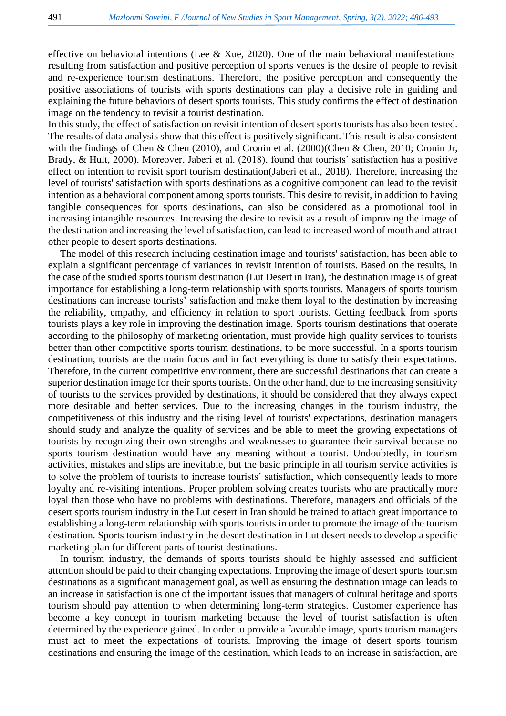effective on behavioral intentions [\(Lee & Xue, 2020\)](#page-7-9). One of the main behavioral manifestations resulting from satisfaction and positive perception of sports venues is the desire of people to revisit and re-experience tourism destinations. Therefore, the positive perception and consequently the positive associations of tourists with sports destinations can play a decisive role in guiding and explaining the future behaviors of desert sports tourists. This study confirms the effect of destination image on the tendency to revisit a tourist destination.

In this study, the effect of satisfaction on revisit intention of desert sports tourists has also been tested. The results of data analysis show that this effect is positively significant. This result is also consistent with the findings of Chen & Chen (2010), and Cronin et al. (2000)[\(Chen & Chen, 2010;](#page-6-14) [Cronin Jr,](#page-6-15)  Brady, [& Hult, 2000\)](#page-6-15). Moreover, Jaberi et al. (2018), found that tourists' satisfaction has a positive effect on intention to revisit sport tourism destination[\(Jaberi et al., 2018\)](#page-7-8). Therefore, increasing the level of tourists' satisfaction with sports destinations as a cognitive component can lead to the revisit intention as a behavioral component among sports tourists. This desire to revisit, in addition to having tangible consequences for sports destinations, can also be considered as a promotional tool in increasing intangible resources. Increasing the desire to revisit as a result of improving the image of the destination and increasing the level of satisfaction, can lead to increased word of mouth and attract other people to desert sports destinations.

The model of this research including destination image and tourists' satisfaction, has been able to explain a significant percentage of variances in revisit intention of tourists. Based on the results, in the case of the studied sports tourism destination (Lut Desert in Iran), the destination image is of great importance for establishing a long-term relationship with sports tourists. Managers of sports tourism destinations can increase tourists' satisfaction and make them loyal to the destination by increasing the reliability, empathy, and efficiency in relation to sport tourists. Getting feedback from sports tourists plays a key role in improving the destination image. Sports tourism destinations that operate according to the philosophy of marketing orientation, must provide high quality services to tourists better than other competitive sports tourism destinations, to be more successful. In a sports tourism destination, tourists are the main focus and in fact everything is done to satisfy their expectations. Therefore, in the current competitive environment, there are successful destinations that can create a superior destination image for their sports tourists. On the other hand, due to the increasing sensitivity of tourists to the services provided by destinations, it should be considered that they always expect more desirable and better services. Due to the increasing changes in the tourism industry, the competitiveness of this industry and the rising level of tourists' expectations, destination managers should study and analyze the quality of services and be able to meet the growing expectations of tourists by recognizing their own strengths and weaknesses to guarantee their survival because no sports tourism destination would have any meaning without a tourist. Undoubtedly, in tourism activities, mistakes and slips are inevitable, but the basic principle in all tourism service activities is to solve the problem of tourists to increase tourists' satisfaction, which consequently leads to more loyalty and re-visiting intentions. Proper problem solving creates tourists who are practically more loyal than those who have no problems with destinations. Therefore, managers and officials of the desert sports tourism industry in the Lut desert in Iran should be trained to attach great importance to establishing a long-term relationship with sports tourists in order to promote the image of the tourism destination. Sports tourism industry in the desert destination in Lut desert needs to develop a specific marketing plan for different parts of tourist destinations.

In tourism industry, the demands of sports tourists should be highly assessed and sufficient attention should be paid to their changing expectations. Improving the image of desert sports tourism destinations as a significant management goal, as well as ensuring the destination image can leads to an increase in satisfaction is one of the important issues that managers of cultural heritage and sports tourism should pay attention to when determining long-term strategies. Customer experience has become a key concept in tourism marketing because the level of tourist satisfaction is often determined by the experience gained. In order to provide a favorable image, sports tourism managers must act to meet the expectations of tourists. Improving the image of desert sports tourism destinations and ensuring the image of the destination, which leads to an increase in satisfaction, are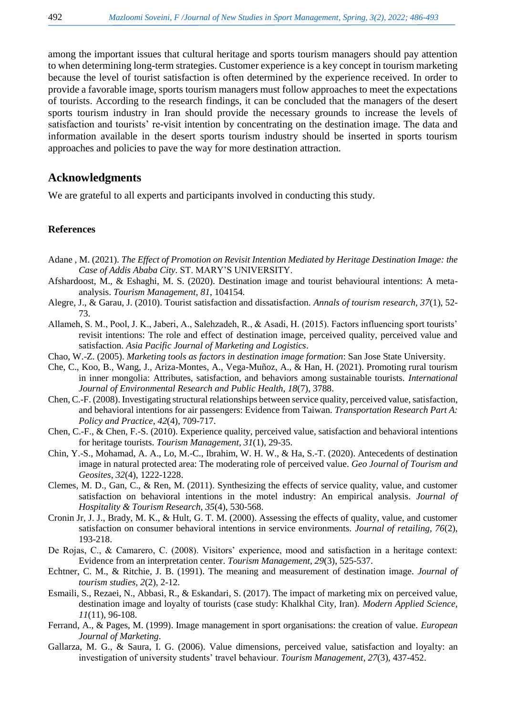among the important issues that cultural heritage and sports tourism managers should pay attention to when determining long-term strategies. Customer experience is a key concept in tourism marketing because the level of tourist satisfaction is often determined by the experience received. In order to provide a favorable image, sports tourism managers must follow approaches to meet the expectations of tourists. According to the research findings, it can be concluded that the managers of the desert sports tourism industry in Iran should provide the necessary grounds to increase the levels of satisfaction and tourists' re-visit intention by concentrating on the destination image. The data and information available in the desert sports tourism industry should be inserted in sports tourism approaches and policies to pave the way for more destination attraction.

## **Acknowledgments**

We are grateful to all experts and participants involved in conducting this study.

#### **References**

- <span id="page-6-10"></span>Adane , M. (2021). *The Effect of Promotion on Revisit Intention Mediated by Heritage Destination Image: the Case of Addis Ababa City.* ST. MARY'S UNIVERSITY.
- <span id="page-6-13"></span>Afshardoost, M., & Eshaghi, M. S. (2020). Destination image and tourist behavioural intentions: A metaanalysis. *Tourism Management, 81*, 104154.
- <span id="page-6-2"></span>Alegre, J., & Garau, J. (2010). Tourist satisfaction and dissatisfaction. *Annals of tourism research, 37*(1), 52- 73.
- <span id="page-6-0"></span>Allameh, S. M., Pool, J. K., Jaberi, A., Salehzadeh, R., & Asadi, H. (2015). Factors influencing sport tourists' revisit intentions: The role and effect of destination image, perceived quality, perceived value and satisfaction. *Asia Pacific Journal of Marketing and Logistics*.
- <span id="page-6-7"></span>Chao, W.-Z. (2005). *Marketing tools as factors in destination image formation*: San Jose State University.
- <span id="page-6-11"></span>Che, C., Koo, B., Wang, J., Ariza-Montes, A., Vega-Muñoz, A., & Han, H. (2021). Promoting rural tourism in inner mongolia: Attributes, satisfaction, and behaviors among sustainable tourists. *International Journal of Environmental Research and Public Health, 18*(7), 3788.
- <span id="page-6-3"></span>Chen, C.-F. (2008). Investigating structural relationships between service quality, perceived value, satisfaction, and behavioral intentions for air passengers: Evidence from Taiwan. *Transportation Research Part A: Policy and Practice, 42*(4), 709-717.
- <span id="page-6-14"></span>Chen, C.-F., & Chen, F.-S. (2010). Experience quality, perceived value, satisfaction and behavioral intentions for heritage tourists. *Tourism Management, 31*(1), 29-35.
- <span id="page-6-1"></span>Chin, Y.-S., Mohamad, A. A., Lo, M.-C., Ibrahim, W. H. W., & Ha, S.-T. (2020). Antecedents of destination image in natural protected area: The moderating role of perceived value. *Geo Journal of Tourism and Geosites, 32*(4), 1222-1228.
- <span id="page-6-4"></span>Clemes, M. D., Gan, C., & Ren, M. (2011). Synthesizing the effects of service quality, value, and customer satisfaction on behavioral intentions in the motel industry: An empirical analysis. *Journal of Hospitality & Tourism Research, 35*(4), 530-568.
- <span id="page-6-15"></span>Cronin Jr, J. J., Brady, M. K., & Hult, G. T. M. (2000). Assessing the effects of quality, value, and customer satisfaction on consumer behavioral intentions in service environments. *Journal of retailing, 76*(2), 193-218.
- <span id="page-6-5"></span>De Rojas, C., & Camarero, C. (2008). Visitors' experience, mood and satisfaction in a heritage context: Evidence from an interpretation center. *Tourism Management, 29*(3), 525-537.
- <span id="page-6-6"></span>Echtner, C. M., & Ritchie, J. B. (1991). The meaning and measurement of destination image. *Journal of tourism studies, 2*(2), 2-12.
- <span id="page-6-8"></span>Esmaili, S., Rezaei, N., Abbasi, R., & Eskandari, S. (2017). The impact of marketing mix on perceived value, destination image and loyalty of tourists (case study: Khalkhal City, Iran). *Modern Applied Science, 11*(11), 96-108.
- <span id="page-6-9"></span>Ferrand, A., & Pages, M. (1999). Image management in sport organisations: the creation of value. *European Journal of Marketing*.
- <span id="page-6-12"></span>Gallarza, M. G., & Saura, I. G. (2006). Value dimensions, perceived value, satisfaction and loyalty: an investigation of university students' travel behaviour. *Tourism Management, 27*(3), 437-452.